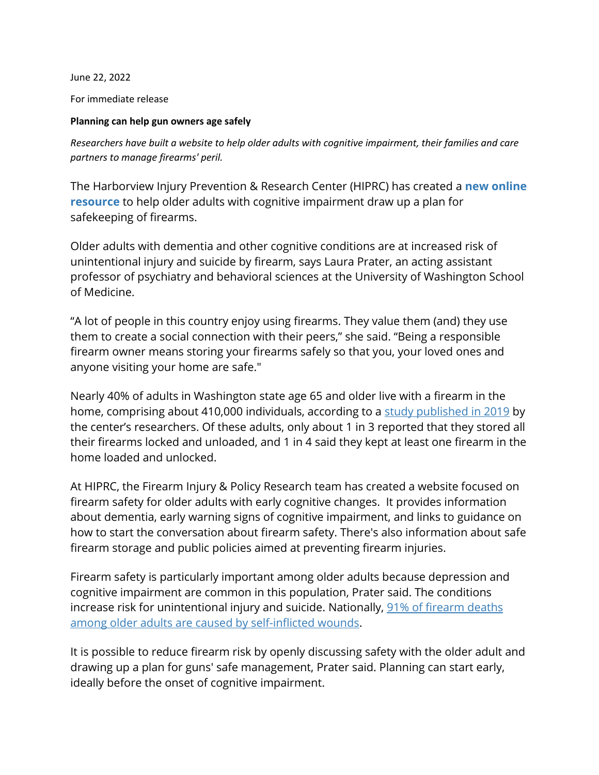June 22, 2022

For immediate release

## **Planning can help gun owners age safely**

*Researchers have built a website to help older adults with cognitive impairment, their families and care partners to manage firearms' peril.*

The Harborview Injury Prevention & Research Center (HIPRC) has created a **[new online](https://hiprc.org/dementia-firearm-safety)  [resource](https://hiprc.org/dementia-firearm-safety)** to help older adults with cognitive impairment draw up a plan for safekeeping of firearms.

Older adults with dementia and other cognitive conditions are at increased risk of unintentional injury and suicide by firearm, says Laura Prater, an acting assistant professor of psychiatry and behavioral sciences at the University of Washington School of Medicine.

"A lot of people in this country enjoy using firearms. They value them (and) they use them to create a social connection with their peers," she said. "Being a responsible firearm owner means storing your firearms safely so that you, your loved ones and anyone visiting your home are safe."

Nearly 40% of adults in Washington state age 65 and older live with a firearm in the home, comprising about 410,000 individuals, according to a [study published in 2019](https://www.acpjournals.org/doi/10.7326/M18-3698) by the center's researchers. Of these adults, only about 1 in 3 reported that they stored all their firearms locked and unloaded, and 1 in 4 said they kept at least one firearm in the home loaded and unlocked.

At HIPRC, the Firearm Injury & Policy Research team has created a website focused on firearm safety for older adults with early cognitive changes. It provides information about dementia, early warning signs of cognitive impairment, and links to guidance on how to start the conversation about firearm safety. There's also information about safe firearm storage and public policies aimed at preventing firearm injuries.

Firearm safety is particularly important among older adults because depression and cognitive impairment are common in this population, Prater said. The conditions increase risk for unintentional injury and suicide. Nationally, [91% of firearm deaths](https://www.cdc.gov/injury/wisqars/fatal.html)  among older [adults are caused by self-inflicted wounds.](https://www.cdc.gov/injury/wisqars/fatal.html)

It is possible to reduce firearm risk by openly discussing safety with the older adult and drawing up a plan for guns' safe management, Prater said. Planning can start early, ideally before the onset of cognitive impairment.